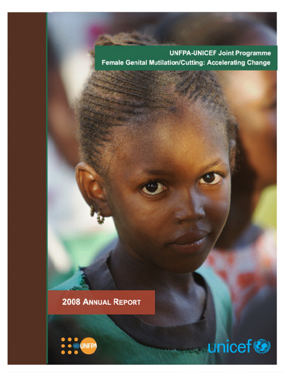**UNFPA-UNICEF Joint Programme** Female Genital Mutilation/Cutting: Accelerating Change

# 2008 ANNUAL REPORT



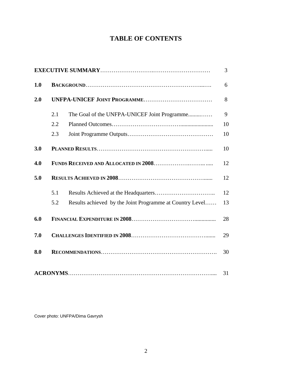# **TABLE OF CONTENTS**

|     |     |                                                          | 3  |
|-----|-----|----------------------------------------------------------|----|
| 1.0 |     |                                                          | 6  |
| 2.0 |     |                                                          |    |
|     | 2.1 | The Goal of the UNFPA-UNICEF Joint Programme             | 9  |
|     | 2.2 |                                                          | 10 |
|     | 2.3 |                                                          | 10 |
| 3.0 |     |                                                          | 10 |
| 4.0 |     |                                                          | 12 |
| 5.0 |     |                                                          |    |
|     | 5.1 |                                                          | 12 |
|     | 5.2 | Results achieved by the Joint Programme at Country Level | 13 |
| 6.0 |     |                                                          | 28 |
| 7.0 |     |                                                          | 29 |
| 8.0 |     |                                                          | 30 |
|     |     |                                                          | 31 |

Cover photo: UNFPA/Dima Gavrysh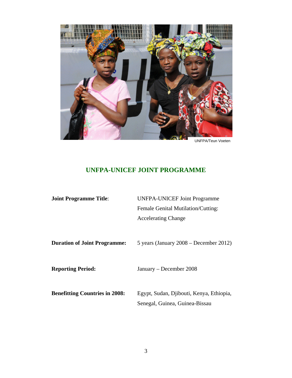

UNFPA/Teun Voeten

# **UNFPA-UNICEF JOINT PROGRAMME**

| <b>Joint Programme Title:</b>         | <b>UNFPA-UNICEF Joint Programme</b>                                        |  |  |
|---------------------------------------|----------------------------------------------------------------------------|--|--|
|                                       | Female Genital Mutilation/Cutting:                                         |  |  |
|                                       | <b>Accelerating Change</b>                                                 |  |  |
|                                       |                                                                            |  |  |
| <b>Duration of Joint Programme:</b>   | 5 years (January $2008 -$ December 2012)                                   |  |  |
| <b>Reporting Period:</b>              | January – December 2008                                                    |  |  |
| <b>Benefitting Countries in 2008:</b> | Egypt, Sudan, Djibouti, Kenya, Ethiopia,<br>Senegal, Guinea, Guinea-Bissau |  |  |
|                                       |                                                                            |  |  |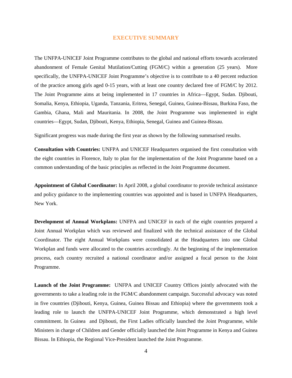### **EXECUTIVE SUMMARY**

The UNFPA-UNICEF Joint Programme contributes to the global and national efforts towards accelerated abandonment of Female Genital Mutilation/Cutting (FGM/C) within a generation (25 years). More specifically, the UNFPA-UNICEF Joint Programme's objective is to contribute to a 40 percent reduction of the practice among girls aged 0-15 years, with at least one country declared free of FGM/C by 2012. The Joint Programme aims at being implemented in 17 countries in Africa—Egypt, Sudan. Djibouti, Somalia, Kenya, Ethiopia, Uganda, Tanzania, Eritrea, Senegal, Guinea, Guinea-Bissau, Burkina Faso, the Gambia, Ghana, Mali and Mauritania. In 2008, the Joint Programme was implemented in eight countries—Egypt, Sudan, Djibouti, Kenya, Ethiopia, Senegal, Guinea and Guinea-Bissau.

Significant progress was made during the first year as shown by the following summarised results.

**Consultation with Countries:** UNFPA and UNICEF Headquarters organised the first consultation with the eight countries in Florence, Italy to plan for the implementation of the Joint Programme based on a common understanding of the basic principles as reflected in the Joint Programme document.

**Appointment of Global Coordinator:** In April 2008, a global coordinator to provide technical assistance and policy guidance to the implementing countries was appointed and is based in UNFPA Headquarters, New York.

**Development of Annual Workplans:** UNFPA and UNICEF in each of the eight countries prepared a Joint Annual Workplan which was reviewed and finalized with the technical assistance of the Global Coordinator. The eight Annual Workplans were consolidated at the Headquarters into one Global Workplan and funds were allocated to the countries accordingly. At the beginning of the implementation process, each country recruited a national coordinator and/or assigned a focal person to the Joint Programme.

**Launch of the Joint Programme:** UNFPA and UNICEF Country Offices jointly advocated with the governments to take a leading role in the FGM/C abandonment campaign. Successful advocacy was noted in five countries (Djibouti, Kenya, Guinea, Guinea Bissau and Ethiopia) where the governments took a leading role to launch the UNFPA-UNICEF Joint Programme, which demonstrated a high level commitment. In Guinea and Djibouti, the First Ladies officially launched the Joint Programme, while Ministers in charge of Children and Gender officially launched the Joint Programme in Kenya and Guinea Bissau. In Ethiopia, the Regional Vice-President launched the Joint Programme.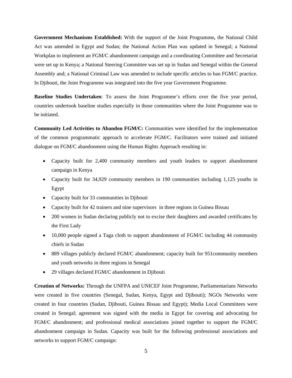**Government Mechanisms Established:** With the support of the Joint Programme**,** the National Child Act was amended in Egypt and Sudan; the National Action Plan was updated in Senegal; a National Workplan to implement an FGM/C abandonment campaign and a coordinating Committee and Secretariat were set up in Kenya; a National Steering Committee was set up in Sudan and Senegal within the General Assembly and; a National Criminal Law was amended to include specific articles to ban FGM/C practice. In Djibouti, the Joint Programme was integrated into the five year Government Programme.

**Baseline Studies Undertaken**: To assess the Joint Programme's efforts over the five year period, countries undertook baseline studies especially in those communities where the Joint Programme was to be initiated.

**Community Led Activities to Abandon FGM/C:** Communities were identified for the implementation of the common programmatic approach to accelerate FGM/C. Facilitators were trained and initiated dialogue on FGM/C abandonment using the Human Rights Approach resulting in:

- Capacity built for 2,400 community members and youth leaders to support abandonment campaign in Kenya
- Capacity built for 34,929 community members in 190 communities including 1,125 youths in Egypt
- Capacity built for 33 communities in Djibouti
- Capacity built for 42 trainers and nine supervisors in three regions in Guinea Bissau
- 200 women in Sudan declaring publicly not to excise their daughters and awarded certificates by the First Lady
- 10,000 people signed a Taga cloth to support abandonment of FGM/C including 44 community chiefs in Sudan
- 889 villages publicly declared FGM/C abandonment; capacity built for 951 community members and youth networks in three regions in Senegal
- 29 villages declared FGM/C abandonment in Djibouti

**Creation of Networks:** Through the UNFPA and UNICEF Joint Programme, Parliamentarians Networks were created in five countries (Senegal, Sudan, Kenya, Egypt and Djibouti); NGOs Networks were created in four countries (Sudan, Djibouti, Guinea Bissau and Egypt); Media Local Committees were created in Senegal; agreement was signed with the media in Egypt for covering and advocating for FGM/C abandonment; and professional medical associations joined together to support the FGM/C abandonment campaign in Sudan. Capacity was built for the following professional associations and networks to support FGM/C campaign: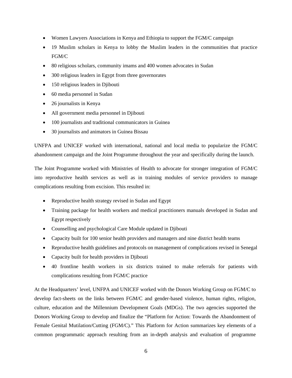- Women Lawyers Associations in Kenya and Ethiopia to support the FGM/C campaign
- 19 Muslim scholars in Kenya to lobby the Muslim leaders in the communities that practice FGM/C
- 80 religious scholars, community imams and 400 women advocates in Sudan
- 300 religious leaders in Egypt from three governorates
- 150 religious leaders in Diibouti
- 60 media personnel in Sudan
- 26 journalists in Kenya
- All government media personnel in Djibouti
- 100 journalists and traditional communicators in Guinea
- 30 journalists and animators in Guinea Bissau

UNFPA and UNICEF worked with international, national and local media to popularize the FGM/C abandonment campaign and the Joint Programme throughout the year and specifically during the launch.

The Joint Programme worked with Ministries of Health to advocate for stronger integration of FGM/C into reproductive health services as well as in training modules of service providers to manage complications resulting from excision. This resulted in:

- Reproductive health strategy revised in Sudan and Egypt
- Training package for health workers and medical practitioners manuals developed in Sudan and Egypt respectively
- Counselling and psychological Care Module updated in Djibouti
- Capacity built for 100 senior health providers and managers and nine district health teams
- Reproductive health guidelines and protocols on management of complications revised in Senegal
- Capacity built for health providers in Djibouti
- 40 frontline health workers in six districts trained to make referrals for patients with complications resulting from FGM/C practice

At the Headquarters' level, UNFPA and UNICEF worked with the Donors Working Group on FGM/C to develop fact-sheets on the links between FGM/C and gender-based violence, human rights, religion, culture, education and the Millennium Development Goals (MDGs). The two agencies supported the Donors Working Group to develop and finalize the "Platform for Action: Towards the Abandonment of Female Genital Mutilation/Cutting (FGM/C)." This Platform for Action summarizes key elements of a common programmatic approach resulting from an in-depth analysis and evaluation of programme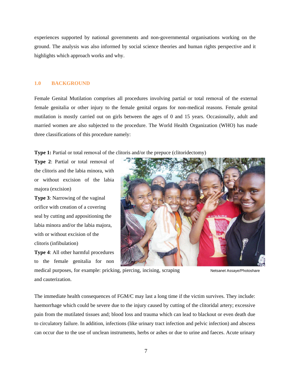experiences supported by national governments and non-governmental organisations working on the ground. The analysis was also informed by social science theories and human rights perspective and it highlights which approach works and why.

#### **1.0 BACKGROUND**

Female Genital Mutilation comprises all procedures involving partial or total removal of the external female genitalia or other injury to the female genital organs for non-medical reasons. Female genital mutilation is mostly carried out on girls between the ages of 0 and 15 years. Occasionally, adult and married women are also subjected to the procedure. The World Health Organization (WHO) has made three classifications of this procedure namely:

**Type 1:** Partial or total removal of the clitoris and/or the prepuce (clitoridectomy)

**Type 2**: Partial or total removal of the clitoris and the labia minora, with or without excision of the labia majora (excision)

**Type 3**: Narrowing of the vaginal orifice with creation of a covering seal by cutting and appositioning the labia minora and/or the labia majora, with or without excision of the clitoris (infibulation)

**Type 4**: All other harmful procedures to the female genitalia for non



Netsanet Assaye/Photoshare medical purposes, for example: pricking, piercing, incising, scraping and cauterization.

The immediate health consequences of FGM/C may last a long time if the victim survives. They include: haemorrhage which could be severe due to the injury caused by cutting of the clitoridal artery; excessive pain from the mutilated tissues and; blood loss and trauma which can lead to blackout or even death due to circulatory failure. In addition, infections (like urinary tract infection and pelvic infection) and abscess can occur due to the use of unclean instruments, herbs or ashes or due to urine and faeces. Acute urinary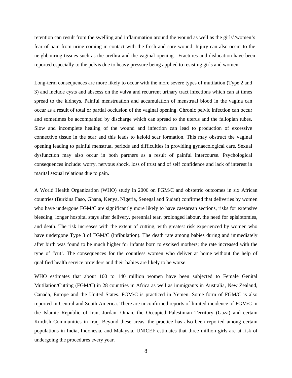retention can result from the swelling and inflammation around the wound as well as the girls'/women's fear of pain from urine coming in contact with the fresh and sore wound. Injury can also occur to the neighbouring tissues such as the urethra and the vaginal opening. Fractures and dislocation have been reported especially to the pelvis due to heavy pressure being applied to resisting girls and women.

Long-term consequences are more likely to occur with the more severe types of mutilation (Type 2 and 3) and include cysts and abscess on the vulva and recurrent urinary tract infections which can at times spread to the kidneys. Painful menstruation and accumulation of menstrual blood in the vagina can occur as a result of total or partial occlusion of the vaginal opening. Chronic pelvic infection can occur and sometimes be accompanied by discharge which can spread to the uterus and the fallopian tubes. Slow and incomplete healing of the wound and infection can lead to production of excessive connective tissue in the scar and this leads to keloid scar formation. This may obstruct the vaginal opening leading to painful menstrual periods and difficulties in providing gynaecological care. Sexual dysfunction may also occur in both partners as a result of painful intercourse. Psychological consequences include: worry, nervous shock, loss of trust and of self confidence and lack of interest in marital sexual relations due to pain.

A World Health Organization (WHO) study in 2006 on FGM/C and obstetric outcomes in six African countries (Burkina Faso, Ghana, Kenya, Nigeria, Senegal and Sudan) confirmed that deliveries by women who have undergone FGM/C are significantly more likely to have caesarean sections, risks for extensive bleeding, longer hospital stays after delivery, perennial tear, prolonged labour, the need for episiotomies, and death. The risk increases with the extent of cutting, with greatest risk experienced by women who have undergone Type 3 of FGM/C (infibulation). The death rate among babies during and immediately after birth was found to be much higher for infants born to excised mothers; the rate increased with the type of "cut'. The consequences for the countless women who deliver at home without the help of qualified health service providers and their babies are likely to be worse.

WHO estimates that about 100 to 140 million women have been subjected to Female Genital Mutilation/Cutting (FGM/C) in 28 countries in Africa as well as immigrants in Australia, New Zealand, Canada, Europe and the United States. FGM/C is practiced in Yemen. Some form of FGM/C is also reported in Central and South America. There are unconfirmed reports of limited incidence of FGM/C in the Islamic Republic of Iran, Jordan, Oman, the Occupied Palestinian Territory (Gaza) and certain Kurdish Communities in Iraq. Beyond these areas, the practice has also been reported among certain populations in India, Indonesia, and Malaysia. UNICEF estimates that three million girls are at risk of undergoing the procedures every year.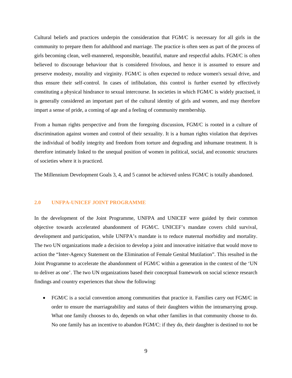Cultural beliefs and practices underpin the consideration that FGM/C is necessary for all girls in the community to prepare them for adulthood and marriage. The practice is often seen as part of the process of girls becoming clean, well-mannered, responsible, beautiful, mature and respectful adults. FGM/C is often believed to discourage behaviour that is considered frivolous, and hence it is assumed to ensure and preserve modesty, morality and virginity. FGM/C is often expected to reduce women's sexual drive, and thus ensure their self-control. In cases of infibulation, this control is further exerted by effectively constituting a physical hindrance to sexual intercourse. In societies in which FGM/C is widely practised, it is generally considered an important part of the cultural identity of girls and women, and may therefore impart a sense of pride, a coming of age and a feeling of community membership.

From a human rights perspective and from the foregoing discussion, FGM/C is rooted in a culture of discrimination against women and control of their sexuality. It is a human rights violation that deprives the individual of bodily integrity and freedom from torture and degrading and inhumane treatment. It is therefore intimately linked to the unequal position of women in political, social, and economic structures of societies where it is practiced.

The Millennium Development Goals 3, 4, and 5 cannot be achieved unless FGM/C is totally abandoned.

# **2.0 UNFPA-UNICEF JOINT PROGRAMME**

In the development of the Joint Programme, UNFPA and UNICEF were guided by their common objective towards accelerated abandonment of FGM/C. UNICEF's mandate covers child survival, development and participation, while UNFPA's mandate is to reduce maternal morbidity and mortality. The two UN organizations made a decision to develop a joint and innovative initiative that would move to action the "Inter-Agency Statement on the Elimination of Female Genital Mutilation". This resulted in the Joint Programme to accelerate the abandonment of FGM/C within a generation in the context of the 'UN to deliver as one'. The two UN organizations based their conceptual framework on social science research findings and country experiences that show the following:

• FGM/C is a social convention among communities that practice it. Families carry out FGM/C in order to ensure the marriageability and status of their daughters within the intramarrying group. What one family chooses to do, depends on what other families in that community choose to do. No one family has an incentive to abandon FGM/C: if they do, their daughter is destined to not be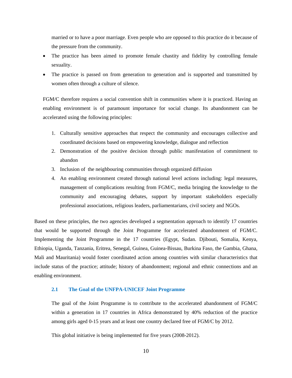married or to have a poor marriage. Even people who are opposed to this practice do it because of the pressure from the community.

- The practice has been aimed to promote female chastity and fidelity by controlling female sexuality.
- The practice is passed on from generation to generation and is supported and transmitted by women often through a culture of silence.

FGM/C therefore requires a social convention shift in communities where it is practiced. Having an enabling environment is of paramount importance for social change. Its abandonment can be accelerated using the following principles:

- 1. Culturally sensitive approaches that respect the community and encourages collective and coordinated decisions based on empowering knowledge, dialogue and reflection
- 2. Demonstration of the positive decision through public manifestation of commitment to abandon
- 3. Inclusion of the neighbouring communities through organized diffusion
- 4. An enabling environment created through national level actions including: legal measures, management of complications resulting from FGM/C, media bringing the knowledge to the community and encouraging debates, support by important stakeholders especially professional associations, religious leaders, parliamentarians, civil society and NGOs.

Based on these principles, the two agencies developed a segmentation approach to identify 17 countries that would be supported through the Joint Programme for accelerated abandonment of FGM/C. Implementing the Joint Programme in the 17 countries (Egypt, Sudan. Djibouti, Somalia, Kenya, Ethiopia, Uganda, Tanzania, Eritrea, Senegal, Guinea, Guinea-Bissau, Burkina Faso, the Gambia, Ghana, Mali and Mauritania) would foster coordinated action among countries with similar characteristics that include status of the practice; attitude; history of abandonment; regional and ethnic connections and an enabling environment.

### **2.1 The Goal of the UNFPA-UNICEF Joint Programme**

The goal of the Joint Programme is to contribute to the accelerated abandonment of FGM/C within a generation in 17 countries in Africa demonstrated by 40% reduction of the practice among girls aged 0-15 years and at least one country declared free of FGM/C by 2012.

This global initiative is being implemented for five years (2008-2012).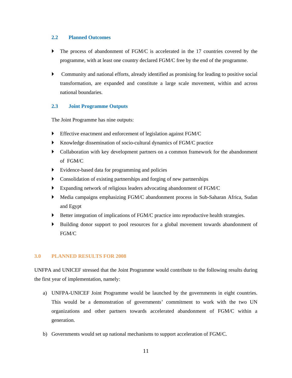### **2.2 Planned Outcomes**

- The process of abandonment of FGM/C is accelerated in the 17 countries covered by the programme, with at least one country declared FGM/C free by the end of the programme.
- $\blacktriangleright$  Community and national efforts, already identified as promising for leading to positive social transformation, are expanded and constitute a large scale movement, within and across national boundaries.

# **2.3 Joint Programme Outputs**

The Joint Programme has nine outputs:

- ` Effective enactment and enforcement of legislation against FGM/C
- ` Knowledge dissemination of socio-cultural dynamics of FGM/C practice
- Collaboration with key development partners on a common framework for the abandonment of FGM/C
- ` Evidence-based data for programming and policies
- Consolidation of existing partnerships and forging of new partnerships
- ` Expanding network of religious leaders advocating abandonment of FGM/C
- ` Media campaigns emphasizing FGM/C abandonment process in Sub-Saharan Africa, Sudan and Egypt
- ` Better integration of implications of FGM/C practice into reproductive health strategies.
- ` Building donor support to pool resources for a global movement towards abandonment of FGM/C

# **3.0 PLANNED RESULTS FOR 2008**

UNFPA and UNICEF stressed that the Joint Programme would contribute to the following results during the first year of implementation, namely:

- a) UNFPA-UNICEF Joint Programme would be launched by the governments in eight countries. This would be a demonstration of governments' commitment to work with the two UN organizations and other partners towards accelerated abandonment of FGM/C within a generation.
- b) Governments would set up national mechanisms to support acceleration of FGM/C.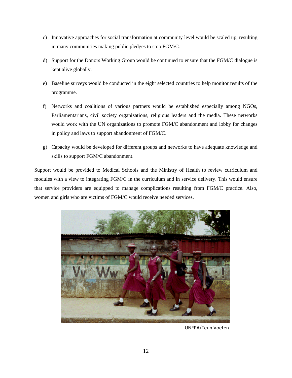- c) Innovative approaches for social transformation at community level would be scaled up, resulting in many communities making public pledges to stop FGM/C.
- d) Support for the Donors Working Group would be continued to ensure that the FGM/C dialogue is kept alive globally.
- e) Baseline surveys would be conducted in the eight selected countries to help monitor results of the programme.
- f) Networks and coalitions of various partners would be established especially among NGOs, Parliamentarians, civil society organizations, religious leaders and the media. These networks would work with the UN organizations to promote FGM/C abandonment and lobby for changes in policy and laws to support abandonment of FGM/C.
- g) Capacity would be developed for different groups and networks to have adequate knowledge and skills to support FGM/C abandonment.

Support would be provided to Medical Schools and the Ministry of Health to review curriculum and modules with a view to integrating FGM/C in the curriculum and in service delivery. This would ensure that service providers are equipped to manage complications resulting from FGM/C practice. Also, women and girls who are victims of FGM/C would receive needed services.



UNFPA/Teun Voeten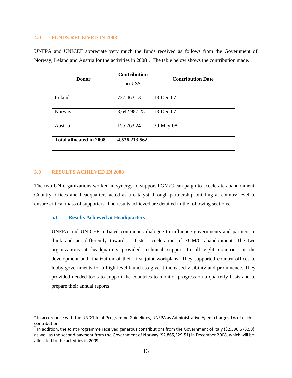## **4.0 FUNDS RECEIVED IN 20081**

UNFPA and UNICEF appreciate very much the funds received as follows from the Government of Norway, Ireland and Austria for the activities in  $2008^2$ . The table below shows the contribution made.

| Donor                   | <b>Contribution</b><br>in US\$ | <b>Contribution Date</b> |
|-------------------------|--------------------------------|--------------------------|
| Ireland                 | 737,463.13                     | 18-Dec-07                |
| Norway                  | 3,642,987.25                   | $13$ -Dec-07             |
| Austria                 | 155,763.24                     | 30-May-08                |
| Total allocated in 2008 | 4,536,213.562                  |                          |

#### **5.0 RESULTS ACHIEVED IN 2008**

The two UN organizations worked in synergy to support FGM/C campaign to accelerate abandonment. Country offices and headquarters acted as a catalyst through partnership building at country level to ensure critical mass of supporters. The results achieved are detailed in the following sections.

## **5.1 Results Achieved at Headquarters**

UNFPA and UNICEF initiated continuous dialogue to influence governments and partners to think and act differently towards a faster acceleration of FGM/C abandonment. The two organizations at headquarters provided technical support to all eight countries in the development and finalization of their first joint workplans. They supported country offices to lobby governments for a high level launch to give it increased visibility and prominence. They provided needed tools to support the countries to monitor progress on a quarterly basis and to prepare their annual reports.

 $1$  In accordance with the UNDG Joint Programme Guidelines, UNFPA as Administrative Agent charges 1% of each contribution.<br><sup>2</sup> In addition, the Joint Programme received generous contributions from the Government of Italy (\$2,590,673.58)

as well as the second payment from the Government of Norway (\$2,865,329.51) in December 2008, which will be allocated to the activities in 2009.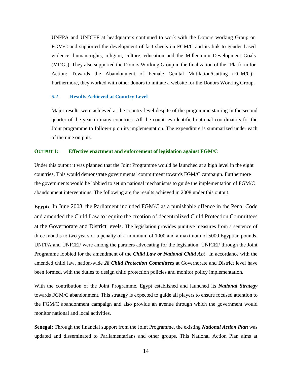UNFPA and UNICEF at headquarters continued to work with the Donors working Group on FGM/C and supported the development of fact sheets on FGM/C and its link to gender based violence, human rights, religion, culture, education and the Millennium Development Goals (MDGs). They also supported the Donors Working Group in the finalization of the "Platform for Action: Towards the Abandonment of Female Genital Mutilation/Cutting (FGM/C)". Furthermore, they worked with other donors to initiate a website for the Donors Working Group.

#### **5.2 Results Achieved at Country Level**

Major results were achieved at the country level despite of the programme starting in the second quarter of the year in many countries. All the countries identified national coordinators for the Joint programme to follow-up on its implementation. The expenditure is summarized under each of the nine outputs.

#### **OUTPUT 1: Effective enactment and enforcement of legislation against FGM/C**

Under this output it was planned that the Joint Programme would be launched at a high level in the eight countries. This would demonstrate governments' commitment towards FGM/C campaign. Furthermore the governments would be lobbied to set up national mechanisms to guide the implementation of FGM/C abandonment interventions. The following are the results achieved in 2008 under this output.

**Egypt:** In June 2008, the Parliament included FGM/C as a punishable offence in the Penal Code and amended the Child Law to require the creation of decentralized Child Protection Committees at the Governorate and District levels. The legislation provides punitive measures from a sentence of three months to two years or a penalty of a minimum of 1000 and a maximum of 5000 Egyptian pounds. UNFPA and UNICEF were among the partners advocating for the legislation. UNICEF through the Joint Programme lobbied for the amendment of the *Child Law or National Child Act* . In accordance with the amended child law, nation-wide *28 Child Protection Committees* at Governorate and District level have been formed, with the duties to design child protection policies and monitor policy implementation.

With the contribution of the Joint Programme, Egypt established and launched its *National Strategy* towards FGM/C abandonment. This strategy is expected to guide all players to ensure focused attention to the FGM/C abandonment campaign and also provide an avenue through which the government would monitor national and local activities.

**Senegal:** Through the financial support from the Joint Programme, the existing *National Action Plan* was updated and disseminated to Parliamentarians and other groups. This National Action Plan aims at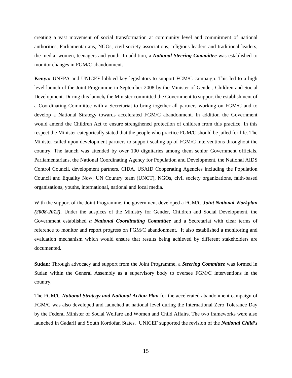creating a vast movement of social transformation at community level and commitment of national authorities, Parliamentarians, NGOs, civil society associations, religious leaders and traditional leaders, the media, women, teenagers and youth. In addition, a *National Steering Committee* was established to monitor changes in FGM/C abandonment.

**Kenya:** UNFPA and UNICEF lobbied key legislators to support FGM/C campaign. This led to a high level launch of the Joint Programme in September 2008 by the Minister of Gender, Children and Social Development. During this launch*,* the Minister committed the Government to support the establishment of a Coordinating Committee with a Secretariat to bring together all partners working on FGM/C and to develop a National Strategy towards accelerated FGM/C abandonment. In addition the Government would amend the Children Act to ensure strengthened protection of children from this practice. In this respect the Minister categorically stated that the people who practice FGM/C should be jailed for life. The Minister called upon development partners to support scaling up of FGM/C interventions throughout the country. The launch was attended by over 100 dignitaries among them senior Government officials, Parliamentarians, the National Coordinating Agency for Population and Development, the National AIDS Control Council, development partners, CIDA, USAID Cooperating Agencies including the Population Council and Equality Now; UN Country team (UNCT), NGOs, civil society organizations, faith-based organisations, youths, international, national and local media.

With the support of the Joint Programme, the government developed a FGM/C *Joint National Workplan (2008-2012).* Under the auspices of the Ministry for Gender, Children and Social Development, the Government established *a National Coordinating Committee* and a Secretariat with clear terms of reference to monitor and report progress on FGM/C abandonment. It also established a monitoring and evaluation mechanism which would ensure that results being achieved by different stakeholders are documented.

**Sudan**: Through advocacy and support from the Joint Programme, a *Steering Committee* was formed in Sudan within the General Assembly as a supervisory body to oversee FGM/C interventions in the country.

The FGM/C *National Strategy and National Action Plan* for the accelerated abandonment campaign of FGM/C was also developed and launched at national level during the International Zero Tolerance Day by the Federal Minister of Social Welfare and Women and Child Affairs. The two frameworks were also launched in Gadarif and South Kordofan States. UNICEF supported the revision of the *National Child's*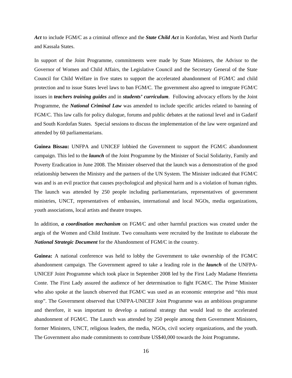*Act* to include FGM/C as a criminal offence and the *State Child Act* in Kordofan, West and North Darfur and Kassala States.

In support of the Joint Programme, commitments were made by State Ministers, the Advisor to the Governor of Women and Child Affairs, the Legislative Council and the Secretary General of the State Council for Child Welfare in five states to support the accelerated abandonment of FGM/C and child protection and to issue States level laws to ban FGM/C. The government also agreed to integrate FGM/C issues in *teachers training guides* and in *students' curriculum*. Following advocacy efforts by the Joint Programme, the *National Criminal Law* was amended to include specific articles related to banning of FGM/C. This law calls for policy dialogue, forums and public debates at the national level and in Gadarif and South Kordofan States. Special sessions to discuss the implementation of the law were organized and attended by 60 parliamentarians.

**Guinea Bissau:** UNFPA and UNICEF lobbied the Government to support the FGM/C abandonment campaign. This led to the *launch* of the Joint Programme by the Minister of Social Solidarity, Family and Poverty Eradication in June 2008. The Minister observed that the launch was a demonstration of the good relationship between the Ministry and the partners of the UN System. The Minister indicated that FGM/C was and is an evil practice that causes psychological and physical harm and is a violation of human rights. The launch was attended by 250 people including parliamentarians, representatives of government ministries, UNCT, representatives of embassies, international and local NGOs, media organizations, youth associations, local artists and theatre troupes.

In addition, *a coordination mechanism* on FGM/C and other harmful practices was created under the aegis of the Women and Child Institute. Two consultants were recruited by the Institute to elaborate the *National Strategic Document* for the Abandonment of FGM/C in the country.

**Guinea:** A national conference was held to lobby the Government to take ownership of the FGM/C abandonment campaign. The Government agreed to take a leading role in the *launch* of the UNFPA-UNICEF Joint Programme which took place in September 2008 led by the First Lady Madame Henrietta Conte. The First Lady assured the audience of her determination to fight FGM/C. The Prime Minister who also spoke at the launch observed that FGM/C was used as an economic enterprise and "this must stop". The Government observed that UNFPA-UNICEF Joint Programme was an ambitious programme and therefore, it was important to develop a national strategy that would lead to the accelerated abandonment of FGM/C. The Launch was attended by 250 people among them Government Ministers, former Ministers, UNCT, religious leaders, the media, NGOs, civil society organizations, and the youth. The Government also made commitments to contribute US\$40,000 towards the Joint Programme**.**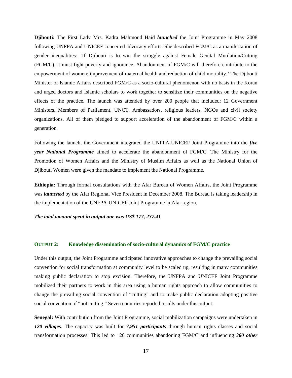**Djibouti:** The First Lady Mrs. Kadra Mahmoud Haid *launched* the Joint Programme in May 2008 following UNFPA and UNICEF concerted advocacy efforts. She described FGM/C as a manifestation of gender inequalities: 'If Djibouti is to win the struggle against Female Genital Mutilation/Cutting (FGM/C), it must fight poverty and ignorance. Abandonment of FGM/C will therefore contribute to the empowerment of women; improvement of maternal health and reduction of child mortality.' The Djibouti Minister of Islamic Affairs described FGM/C as a socio-cultural phenomenon with no basis in the Koran and urged doctors and Islamic scholars to work together to sensitize their communities on the negative effects of the practice. The launch was attended by over 200 people that included: 12 Government Ministers, Members of Parliament, UNCT, Ambassadors, religious leaders, NGOs and civil society organizations. All of them pledged to support acceleration of the abandonment of FGM/C within a generation.

Following the launch, the Government integrated the UNFPA-UNICEF Joint Programme into the *five year National Programme* aimed to accelerate the abandonment of FGM/C. The Ministry for the Promotion of Women Affairs and the Ministry of Muslim Affairs as well as the National Union of Djibouti Women were given the mandate to implement the National Programme.

**Ethiopia:** Through formal consultations with the Afar Bureau of Women Affairs, the Joint Programme was *launched* by the Afar Regional Vice President in December 2008. The Bureau is taking leadership in the implementation of the UNFPA-UNICEF Joint Programme in Afar region.

*The total amount spent in output one was US\$ 177, 237.41* 

#### **OUTPUT 2: Knowledge dissemination of socio-cultural dynamics of FGM/C practice**

Under this output, the Joint Programme anticipated innovative approaches to change the prevailing social convention for social transformation at community level to be scaled up, resulting in many communities making public declaration to stop excision. Therefore, the UNFPA and UNICEF Joint Programme mobilized their partners to work in this area using a human rights approach to allow communities to change the prevailing social convention of "cutting" and to make public declaration adopting positive social convention of "not cutting." Seven countries reported results under this output.

**Senegal:** With contribution from the Joint Programme, social mobilization campaigns were undertaken in *120 villages*. The capacity was built for *7,951 participants* through human rights classes and social transformation processes. This led to 120 communities abandoning FGM/C and influencing *360 other*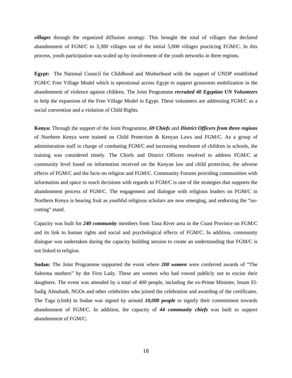*villages* through the organized diffusion strategy. This brought the total of villages that declared abandonment of FGM/C to 3,300 villages out of the initial 5,000 villages practicing FGM/C. In this process, youth participation was scaled up by involvement of the youth networks in three regions.

**Egypt:** The National Council for Childhood and Motherhood with the support of UNDP established FGM/C Free Village Model which is operational across Egypt to support grassroots mobilization in the abandonment of violence against children. The Joint Programme *recruited 40 Egyptian UN Volunteers* to help the expansion of the Free Village Model in Egypt. These volunteers are addressing FGM/C as a social convention and a violation of Child Rights.

**Kenya:** Through the support of the Joint Programme, *69 Chiefs* and *District Officers from three regions* of Northern Kenya were trained on Child Protection & Kenyan Laws and FGM/C. As a group of administration staff in charge of combating FGM/C and increasing enrolment of children in schools, the training was considered timely. The Chiefs and District Officers resolved to address FGM/C at community level based on information received on the Kenyan law and child protection, the adverse effects of FGM/C and the facts on religion and FGM/C. Community Forums providing communities with information and space to reach decisions with regards to FGM/C is one of the strategies that supports the abandonment process of FGM/C. The engagement and dialogue with religious leaders on FGM/C in Northern Kenya is bearing fruit as youthful religious scholars are now emerging, and endorsing the "nocutting" stand.

Capacity was built for *240 community* members from Tana River area in the Coast Province on FGM/C and its link to human rights and social and psychological effects of FGM/C. In addition, community dialogue was undertaken during the capacity building session to create an understanding that FGM/C is not linked to religion.

**Sudan:** The Joint Programme supported the event where *200 women* were conferred awards of "The Saleema mothers" by the First Lady. These are women who had vowed publicly not to excise their daughters. The event was attended by a total of 400 people, including the ex-Prime Minister, Imam El-Sadig Almahadi, NGOs and other celebrities who joined the celebration and awarding of the certificates. The Taga (cloth) in Sudan was signed by around *10,000 people* to signify their commitment towards abandonment of FGM/C. In addition, the capacity of *44 community chiefs* was built to support abandonment of FGM/C.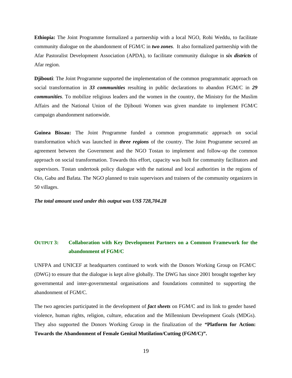**Ethiopia:** The Joint Programme formalized a partnership with a local NGO, Rohi Weddu, to facilitate community dialogue on the abandonment of FGM/C in *two zones*. It also formalized partnership with the Afar Pastoralist Development Association (APDA), to facilitate community dialogue in *six districts* of Afar region.

**Djibouti**: The Joint Programme supported the implementation of the common programmatic approach on social transformation in *33 communities* resulting in public declarations to abandon FGM/C in *29 communities*. To mobilize religious leaders and the women in the country, the Ministry for the Muslim Affairs and the National Union of the Djibouti Women was given mandate to implement FGM/C campaign abandonment nationwide.

**Guinea Bissau:** The Joint Programme funded a common programmatic approach on social transformation which was launched in *three regions* of the country. The Joint Programme secured an agreement between the Government and the NGO Tostan to implement and follow-up the common approach on social transformation. Towards this effort, capacity was built for community facilitators and supervisors. Tostan undertook policy dialogue with the national and local authorities in the regions of Oio, Gabu and Bafata. The NGO planned to train supervisors and trainers of the community organizers in 50 villages.

*The total amount used under this output was US\$ 728,704.28* 

# **OUTPUT 3: Collaboration with Key Development Partners on a Common Framework for the abandonment of FGM/C**

UNFPA and UNICEF at headquarters continued to work with the Donors Working Group on FGM/C (DWG) to ensure that the dialogue is kept alive globally. The DWG has since 2001 brought together key governmental and inter-governmental organisations and foundations committed to supporting the abandonment of FGM/C.

The two agencies participated in the development of *fact sheets* on FGM/C and its link to gender based violence, human rights, religion, culture, education and the Millennium Development Goals (MDGs). They also supported the Donors Working Group in the finalization of the *"***Platform for Action: Towards the Abandonment of Female Genital Mutilation/Cutting (FGM/C)".**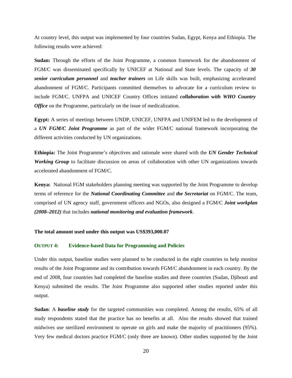At country level, this output was implemented by four countries Sudan, Egypt, Kenya and Ethiopia. The following results were achieved:

**Sudan:** Through the efforts of the Joint Programme, a common framework for the abandonment of FGM/C was disseminated specifically by UNICEF at National and State levels. The capacity of *30 senior curriculum personnel* and *teacher trainers* on Life skills was built, emphasizing accelerated abandonment of FGM/C. Participants committed themselves to advocate for a curriculum review to include FGM/C. UNFPA and UNICEF Country Offices initiated *collaboration with WHO Country Office* on the Programme, particularly on the issue of medicalization.

**Egypt:** A series of meetings between UNDP, UNICEF, UNFPA and UNIFEM led to the development of a *UN FGM/C Joint Programme* as part of the wider FGM/C national framework incorporating the different activities conducted by UN organizations.

**Ethiopia:** The Joint Programme's objectives and rationale were shared with the *UN Gender Technical Working Group* to facilitate discussion on areas of collaboration with other UN organizations towards accelerated abandonment of FGM/C.

**Kenya:** National FGM stakeholders planning meeting was supported by the Joint Programme to develop terms of reference for the *National Coordinating Committee* and *the Secretariat* on FGM/C. The team, comprised of UN agency staff, government officers and NGOs, also designed a FGM/C *Joint workplan (2008–2012)* that includes *national monitoring and evaluation framework*.

#### **The total amount used under this output was US\$393,000.07**

#### **OUTPUT 4: Evidence-based Data for Programming and Policies**

Under this output, baseline studies were planned to be conducted in the eight countries to help monitor results of the Joint Programme and its contribution towards FGM/C abandonment in each country. By the end of 2008, four countries had completed the baseline studies and three countries (Sudan, Djibouti and Kenya) submitted the results. The Joint Programme also supported other studies reported under this output.

**Sudan**: A *baseline study* for the targeted communities was completed. Among the results, 65% of all study respondents stated that the practice has no benefits at all. Also the results showed that trained midwives use sterilized environment to operate on girls and make the majority of practitioners (95%). Very few medical doctors practice FGM/C (only three are known). Other studies supported by the Joint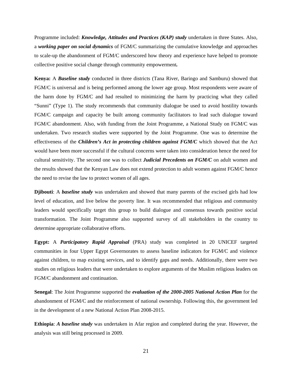Programme included: *Knowledge, Attitudes and Practices (KAP) study* undertaken in three States. Also, a *working paper on social dynamics* of FGM/C summarizing the cumulative knowledge and approaches to scale-up the abandonment of FGM/C underscored how theory and experience have helped to promote collective positive social change through community empowerment*.* 

**Kenya:** A *Baseline study* conducted in three districts (Tana River, Baringo and Samburu) showed that FGM/C is universal and is being performed among the lower age group. Most respondents were aware of the harm done by FGM/C and had resulted to minimizing the harm by practicing what they called "Sunni" (Type 1). The study recommends that community dialogue be used to avoid hostility towards FGM/C campaign and capacity be built among community facilitators to lead such dialogue toward FGM/C abandonment. Also, with funding from the Joint Programme, a National Study on FGM/C was undertaken. Two research studies were supported by the Joint Programme. One was to determine the effectiveness of the *Children's Act in protecting children against FGM/C* which showed that the Act would have been more successful if the cultural concerns were taken into consideration hence the need for cultural sensitivity. The second one was to collect *Judicial Precedents on FGM/C* on adult women and the results showed that the Kenyan Law does not extend protection to adult women against FGM/C hence the need to revise the law to protect women of all ages.

**Djibouti**: A *baseline study* was undertaken and showed that many parents of the excised girls had low level of education, and live below the poverty line. It was recommended that religious and community leaders would specifically target this group to build dialogue and consensus towards positive social transformation. The Joint Programme also supported survey of all stakeholders in the country to determine appropriate collaborative efforts.

**Egypt:** A *Participatory Rapid Appraisal* (PRA) study was completed in 20 UNICEF targeted communities in four Upper Egypt Governorates to assess baseline indicators for FGM/C and violence against children, to map existing services, and to identify gaps and needs. Additionally, there were two studies on religious leaders that were undertaken to explore arguments of the Muslim religious leaders on FGM/C abandonment and continuation.

**Senegal**: The Joint Programme supported the *evaluation of the 2000-2005 National Action Plan* for the abandonment of FGM/C and the reinforcement of national ownership. Following this, the government led in the development of a new National Action Plan 2008-2015.

**Ethiopia**: *A baseline study* was undertaken in Afar region and completed during the year. However, the analysis was still being processed in 2009.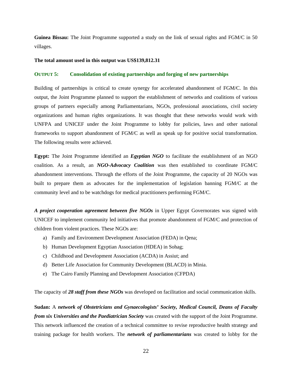**Guinea Bissau:** The Joint Programme supported a study on the link of sexual rights and FGM/C in 50 villages.

#### **The total amount used in this output was US\$139,812.31**

#### **OUTPUT 5: Consolidation of existing partnerships and forging of new partnerships**

Building of partnerships is critical to create synergy for accelerated abandonment of FGM/C. In this output, the Joint Programme planned to support the establishment of networks and coalitions of various groups of partners especially among Parliamentarians, NGOs, professional associations, civil society organizations and human rights organizations. It was thought that these networks would work with UNFPA and UNICEF under the Joint Programme to lobby for policies, laws and other national frameworks to support abandonment of FGM/C as well as speak up for positive social transformation. The following results were achieved.

**Egypt:** The Joint Programme identified an *Egyptian NGO* to facilitate the establishment of an NGO coalition. As a result, an *NGO-Advocacy Coalition* was then established to coordinate FGM/C abandonment interventions. Through the efforts of the Joint Programme, the capacity of 20 NGOs was built to prepare them as advocates for the implementation of legislation banning FGM/C at the community level and to be watchdogs for medical practitioners performing FGM/C.

*A project cooperation agreement between five NGOs* in Upper Egypt Governorates was signed with UNICEF to implement community led initiatives that promote abandonment of FGM/C and protection of children from violent practices. These NGOs are:

- a) Family and Environment Development Association (FEDA) in Qena;
- b) Human Development Egyptian Association (HDEA) in Sohag;
- c) Childhood and Development Association (ACDA) in Assiut; and
- d) Better Life Association for Community Development (BLACD) in Minia.
- e) The Cairo Family Planning and Development Association (CFPDA)

The capacity of *28 staff from these NGOs* was developed on facilitation and social communication skills.

**Sudan:** A *network of Obstetricians and Gynaecologists' Society, Medical Council, Deans of Faculty from six Universities and the Paediatrician Society* was created with the support of the Joint Programme. This network influenced the creation of a technical committee to revise reproductive health strategy and training package for health workers. The *network of parliamentarians* was created to lobby for the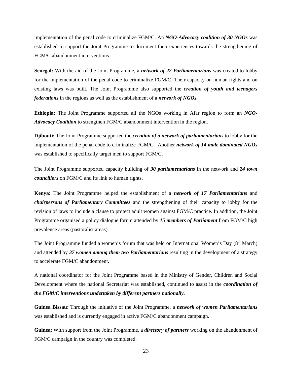implementation of the penal code to criminalize FGM/C. An *NGO-Advocacy coalition of 30 NGOs* was established to support the Joint Programme to document their experiences towards the strengthening of FGM/C abandonment interventions.

**Senegal:** With the aid of the Joint Programme, a *network of 22 Parliamentarians* was created to lobby for the implementation of the penal code to criminalize FGM/C. Their capacity on human rights and on existing laws was built. The Joint Programme also supported the *creation of youth and teenagers federations* in the regions as well as the establishment of a *network of NGOs*.

**Ethiopia:** The Joint Programme supported all the NGOs working in Afar region to form an *NGO-Advocacy Coalition* to strengthen FGM/C abandonment intervention in the region.

**Djibouti:** The Joint Programme supported the *creation of a network of parliamentarians* to lobby for the implementation of the penal code to criminalize FGM/C. Another *network of 14 male dominated NGOs* was established to specifically target men to support FGM/C.

The Joint Programme supported capacity building of *30 parliamentarians* in the network and *24 town councillors* on FGM/C and its link to human rights.

**Kenya:** The Joint Programme helped the establishment of a *network of 17 Parliamentarians* and *chairpersons of Parliamentary Committees* and the strengthening of their capacity to lobby for the revision of laws to include a clause to protect adult women against FGM/C practice. In addition, the Joint Programme organised a policy dialogue forum attended by *15 members of Parliament* from FGM/C high prevalence areas (pastoralist areas).

The Joint Programme funded a women's forum that was held on International Women's Day  $(8<sup>th</sup> March)$ and attended by *37 women among them two Parliamentarians* resulting in the development of a strategy to accelerate FGM/C abandonment.

A national coordinator for the Joint Programme based in the Ministry of Gender, Children and Social Development where the national Secretariat was established, continued to assist in the *coordination of the FGM/C interventions undertaken by different partners nationally.* 

**Guinea Bissau**: Through the initiative of the Joint Programme, a *network of women Parliamentarians* was established and is currently engaged in active FGM/C abandonment campaign.

**Guinea**: With support from the Joint Programme, a *directory of partners* working on the abandonment of FGM/C campaign in the country was completed.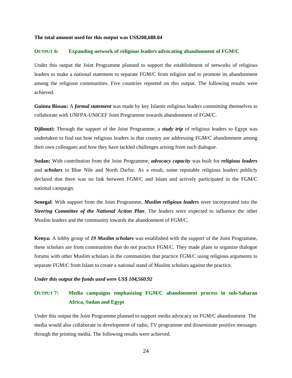#### **The total amount used for this output was US\$208,688.04**

#### **OUTPUT 6: Expanding network of religious leaders advocating abandonment of FGM/C**

Under this output the Joint Programme planned to support the establishment of networks of religious leaders to make a national statement to separate FGM/C from religion and to promote its abandonment among the religious communities. Five countries reported on this output. The following results were achieved.

**Guinea Bissau:** A *formal statement* was made by key Islamic religious leaders committing themselves to collaborate with UNFPA-UNICEF Joint Programme towards abandonment of FGM/C.

**Djibouti:** Through the support of the Joint Programme, a *study trip* of religious leaders to Egypt was undertaken to find out how religious leaders in that country are addressing FGM/C abandonment among their own colleagues and how they have tackled challenges arising from such dialogue.

**Sudan:** With contribution from the Joint Programme, *advocacy capacity* was built for *religious leaders* and *scholars* in Blue Nile and North Darfur. As a result, some reputable religious leaders publicly declared that there was no link between FGM/C and Islam and actively participated in the FGM/C national campaign.

**Senegal**: With support from the Joint Programme, *Muslim religious leaders* were incorporated into the *Steering Committee of the National Action Plan*. The leaders were expected to influence the other Muslim leaders and the community towards the abandonment of FGM/C.

**Kenya:** A lobby group of *19 Muslim scholars* was established with the support of the Joint Programme, these scholars are from communities that do not practice FGM/C. They made plans to organize dialogue forums with other Muslim scholars in the communities that practice FGM/C using religious arguments to separate FGM/C from Islam to create a national stand of Muslim scholars against the practice.

#### *Under this output the funds used were US\$ 104,560.92*

# **OUTPUT 7: Media campaigns emphasizing FGM/C abandonment process in sub-Saharan Africa, Sudan and Egypt**

Under this output the Joint Programme planned to support media advocacy on FGM/C abandonment. The media would also collaborate in development of radio, TV programme and disseminate positive messages through the printing media. The following results were achieved.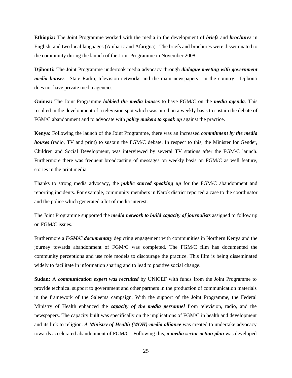**Ethiopia:** The Joint Programme worked with the media in the development of *briefs* and *brochures* in English, and two local languages (Amharic and Afarigna). The briefs and brochures were disseminated to the community during the launch of the Joint Programme in November 2008.

**Djibouti:** The Joint Programme undertook media advocacy through *dialogue meeting with government media houses*—State Radio, television networks and the main newspapers—in the country. Djibouti does not have private media agencies.

**Guinea:** The Joint Programme *lobbied the media houses* to have FGM/C on the *media agenda*. This resulted in the development of a television spot which was aired on a weekly basis to sustain the debate of FGM/C abandonment and to advocate with *policy makers to speak up* against the practice.

**Kenya:** Following the launch of the Joint Programme, there was an increased *commitment by the media houses* (radio, TV and print) to sustain the FGM/C debate. In respect to this, the Minister for Gender, Children and Social Development, was interviewed by several TV stations after the FGM/C launch. Furthermore there was frequent broadcasting of messages on weekly basis on FGM/C as well feature, stories in the print media.

Thanks to strong media advocacy, the *public started speaking up* for the FGM/C abandonment and reporting incidents. For example, community members in Narok district reported a case to the coordinator and the police which generated a lot of media interest.

The Joint Programme supported the *media network to build capacity of journalists* assigned to follow up on FGM/C issues.

Furthermore a *FGM/C documentary* depicting engagement with communities in Northern Kenya and the journey towards abandonment of FGM/C was completed. The FGM/C film has documented the community perceptions and use role models to discourage the practice. This film is being disseminated widely to facilitate in information sharing and to lead to positive social change.

**Sudan:** A *communication expert was recruited* by UNICEF with funds from the Joint Programme to provide technical support to government and other partners in the production of communication materials in the framework of the Saleema campaign. With the support of the Joint Programme, the Federal Ministry of Health enhanced the *capacity of the media personnel* from television, radio, and the newspapers. The capacity built was specifically on the implications of FGM/C in health and development and its link to religion. *A Ministry of Health (MOH)-media alliance* was created to undertake advocacy towards accelerated abandonment of FGM/C. Following this, *a media sector action plan* was developed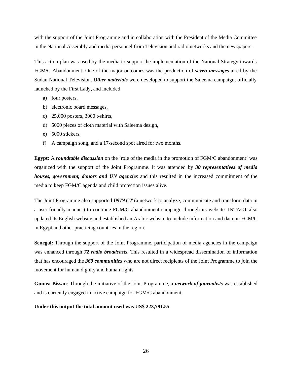with the support of the Joint Programme and in collaboration with the President of the Media Committee in the National Assembly and media personnel from Television and radio networks and the newspapers.

This action plan was used by the media to support the implementation of the National Strategy towards FGM/C Abandonment. One of the major outcomes was the production of *seven messages* aired by the Sudan National Television. *Other materials* were developed to support the Saleema campaign, officially launched by the First Lady, and included

- a) four posters,
- b) electronic board messages,
- c) 25,000 posters, 3000 t-shirts,
- d) 5000 pieces of cloth material with Saleema design,
- e) 5000 stickers,
- f) A campaign song, and a 17-second spot aired for two months.

**Egypt:** A *roundtable discussion* on the 'role of the media in the promotion of FGM/C abandonment' was organized with the support of the Joint Programme. It was attended by *30 representatives of media houses, government, donors and UN agencies* and this resulted in the increased commitment of the media to keep FGM/C agenda and child protection issues alive.

The Joint Programme also supported *INTACT* (a network to analyze, communicate and transform data in a user-friendly manner) to continue FGM/C abandonment campaign through its website. INTACT also updated its English website and established an Arabic website to include information and data on FGM/C in Egypt and other practicing countries in the region.

**Senegal:** Through the support of the Joint Programme, participation of media agencies in the campaign was enhanced through *72 radio broadcasts*. This resulted in a widespread dissemination of information that has encouraged the *360 communities* who are not direct recipients of the Joint Programme to join the movement for human dignity and human rights.

**Guinea Bissau**: Through the initiative of the Joint Programme, a *network of journalists* was established and is currently engaged in active campaign for FGM/C abandonment.

**Under this output the total amount used was US\$ 223,791.55**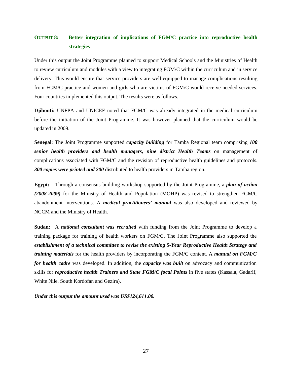# **OUTPUT 8: Better integration of implications of FGM/C practice into reproductive health strategies**

Under this output the Joint Programme planned to support Medical Schools and the Ministries of Health to review curriculum and modules with a view to integrating FGM/C within the curriculum and in service delivery. This would ensure that service providers are well equipped to manage complications resulting from FGM/C practice and women and girls who are victims of FGM/C would receive needed services. Four countries implemented this output. The results were as follows.

**Djibouti:** UNFPA and UNICEF noted that FGM/C was already integrated in the medical curriculum before the initiation of the Joint Programme. It was however planned that the curriculum would be updated in 2009.

**Senegal**: The Joint Programme supported *capacity building* for Tamba Regional team comprising *100 senior health providers and health managers, nine district Health Teams* on management of complications associated with FGM/C and the revision of reproductive health guidelines and protocols. *300 copies were printed and 200* distributed to health providers in Tamba region.

**Egypt:** Through a consensus building workshop supported by the Joint Programme, a *plan of action (2008-2009)* for the Ministry of Health and Population (MOHP) was revised to strengthen FGM/C abandonment interventions. A *medical practitioners' manual* was also developed and reviewed by NCCM and the Ministry of Health.

**Sudan:** A *national consultant was recruited* with funding from the Joint Programme to develop a training package for training of health workers on FGM/C. The Joint Programme also supported the *establishment of a technical committee to revise the existing 5-Year Reproductive Health Strategy and training materials* for the health providers by incorporating the FGM/C content. A *manual on FGM/C for health cadre* was developed. In addition, the *capacity was built* on advocacy and communication skills for *reproductive health Trainers and State FGM/C focal Points* in five states (Kassala, Gadarif, White Nile, South Kordofan and Gezira).

*Under this output the amount used was US\$124,611.00.*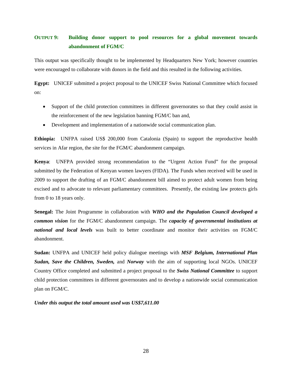# **OUTPUT 9: Building donor support to pool resources for a global movement towards abandonment of FGM/C**

This output was specifically thought to be implemented by Headquarters New York; however countries were encouraged to collaborate with donors in the field and this resulted in the following activities.

**Egypt:** UNICEF submitted a project proposal to the UNICEF Swiss National Committee which focused on:

- Support of the child protection committees in different governorates so that they could assist in the reinforcement of the new legislation banning FGM/C ban and,
- Development and implementation of a nationwide social communication plan.

**Ethiopia:** UNFPA raised US\$ 200,000 from Catalonia (Spain) to support the reproductive health services in Afar region, the site for the FGM/C abandonment campaign.

**Kenya**: UNFPA provided strong recommendation to the "Urgent Action Fund" for the proposal submitted by the Federation of Kenyan women lawyers (FIDA). The Funds when received will be used in 2009 to support the drafting of an FGM/C abandonment bill aimed to protect adult women from being excised and to advocate to relevant parliamentary committees. Presently, the existing law protects girls from 0 to 18 years only.

**Senegal:** The Joint Programme in collaboration with *WHO and the Population Council developed a common vision* for the FGM/C abandonment campaign. The *capacity of governmental institutions at national and local levels* was built to better coordinate and monitor their activities on FGM/C abandonment.

**Sudan:** UNFPA and UNICEF held policy dialogue meetings with *MSF Belgium, International Plan Sudan, Save the Children, Sweden,* and *Norway* with the aim of supporting local NGOs. UNICEF Country Office completed and submitted a project proposal to the *Swiss National Committee* to support child protection committees in different governorates and to develop a nationwide social communication plan on FGM/C.

*Under this output the total amount used was US\$7,611.00*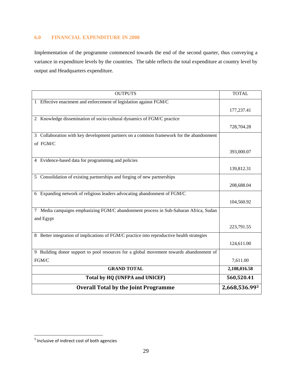# **6.0 FINANCIAL EXPENDITURE IN 2008**

Implementation of the programme commenced towards the end of the second quarter, thus conveying a variance in expenditure levels by the countries. The table reflects the total expenditure at country level by output and Headquarters expenditure.

| <b>OUTPUTS</b>                                                                             | <b>TOTAL</b>  |
|--------------------------------------------------------------------------------------------|---------------|
| 1 Effective enactment and enforcement of legislation against FGM/C                         |               |
|                                                                                            | 177,237.41    |
| 2 Knowledge dissemination of socio-cultural dynamics of FGM/C practice                     |               |
|                                                                                            | 728,704.28    |
| 3 Collaboration with key development partners on a common framework for the abandonment    |               |
| of FGM/C                                                                                   |               |
|                                                                                            | 393,000.07    |
| 4 Evidence-based data for programming and policies                                         |               |
|                                                                                            | 139,812.31    |
| 5 Consolidation of existing partnerships and forging of new partnerships                   |               |
|                                                                                            | 208,688.04    |
| 6 Expanding network of religious leaders advocating abandonment of FGM/C                   |               |
|                                                                                            | 104,560.92    |
| 7 Media campaigns emphasizing FGM/C abandonment process in Sub-Saharan Africa, Sudan       |               |
| and Egypt                                                                                  |               |
|                                                                                            | 223,791.55    |
| 8 Better integration of implications of FGM/C practice into reproductive health strategies |               |
|                                                                                            | 124,611.00    |
| 9 Building donor support to pool resources for a global movement towards abandonment of    |               |
| FGM/C                                                                                      | 7,611.00      |
| <b>GRAND TOTAL</b>                                                                         | 2,108,016.58  |
| Total by HQ (UNFPA and UNICEF)                                                             | 560,520.41    |
| <b>Overall Total by the Joint Programme</b>                                                | 2,668,536.993 |

 $3$  Inclusive of indirect cost of both agencies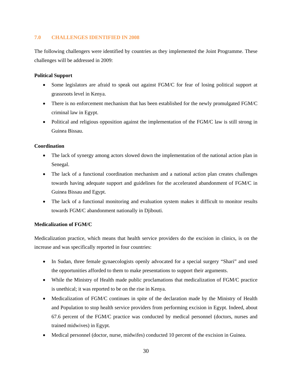# **7.0 CHALLENGES IDENTIFIED IN 2008**

The following challengers were identified by countries as they implemented the Joint Programme. These challenges will be addressed in 2009:

# **Political Support**

- Some legislators are afraid to speak out against FGM/C for fear of losing political support at grassroots level in Kenya.
- There is no enforcement mechanism that has been established for the newly promulgated FGM/C criminal law in Egypt.
- Political and religious opposition against the implementation of the FGM/C law is still strong in Guinea Bissau.

# **Coordination**

- The lack of synergy among actors slowed down the implementation of the national action plan in Senegal.
- The lack of a functional coordination mechanism and a national action plan creates challenges towards having adequate support and guidelines for the accelerated abandonment of FGM/C in Guinea Bissau and Egypt.
- The lack of a functional monitoring and evaluation system makes it difficult to monitor results towards FGM/C abandonment nationally in Djibouti.

# **Medicalization of FGM/C**

Medicalization practice, which means that health service providers do the excision in clinics, is on the increase and was specifically reported in four countries:

- In Sudan, three female gynaecologists openly advocated for a special surgery "Shari" and used the opportunities afforded to them to make presentations to support their arguments.
- While the Ministry of Health made public proclamations that medicalization of FGM/C practice is unethical; it was reported to be on the rise in Kenya.
- Medicalization of FGM/C continues in spite of the declaration made by the Ministry of Health and Population to stop health service providers from performing excision in Egypt. Indeed, about 67.6 percent of the FGM/C practice was conducted by medical personnel (doctors, nurses and trained midwives) in Egypt.
- Medical personnel (doctor, nurse, midwifes) conducted 10 percent of the excision in Guinea.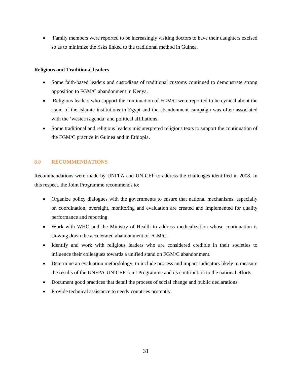• Family members were reported to be increasingly visiting doctors to have their daughters excised so as to minimize the risks linked to the traditional method in Guinea.

## **Religious and Traditional leaders**

- Some faith-based leaders and custodians of traditional customs continued to demonstrate strong opposition to FGM/C abandonment in Kenya.
- Religious leaders who support the continuation of FGM/C were reported to be cynical about the stand of the Islamic institutions in Egypt and the abandonment campaign was often associated with the 'western agenda' and political affiliations.
- Some traditional and religious leaders misinterpreted religious texts to support the continuation of the FGM/C practice in Guinea and in Ethiopia.

# **8.0 RECOMMENDATIONS**

Recommendations were made by UNFPA and UNICEF to address the challenges identified in 2008. In this respect, the Joint Programme recommends to:

- Organize policy dialogues with the governments to ensure that national mechanisms, especially on coordination, oversight, monitoring and evaluation are created and implemented for quality performance and reporting.
- Work with WHO and the Ministry of Health to address medicalization whose continuation is slowing down the accelerated abandonment of FGM/C.
- Identify and work with religious leaders who are considered credible in their societies to influence their colleagues towards a unified stand on FGM/C abandonment.
- Determine an evaluation methodology, to include process and impact indicators likely to measure the results of the UNFPA-UNICEF Joint Programme and its contribution to the national efforts.
- Document good practices that detail the process of social change and public declarations.
- Provide technical assistance to needy countries promptly.